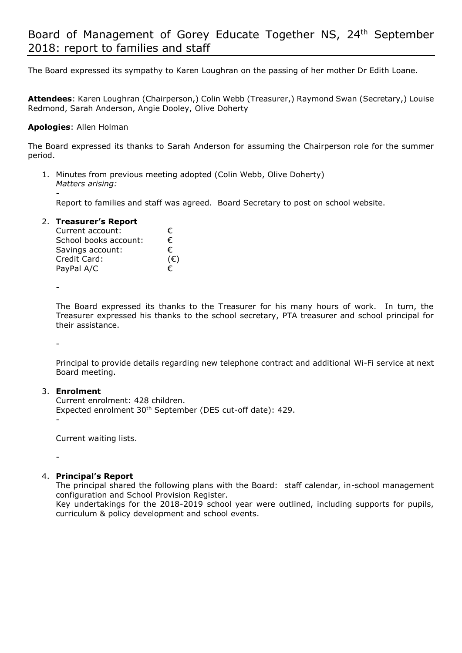The Board expressed its sympathy to Karen Loughran on the passing of her mother Dr Edith Loane.

**Attendees**: Karen Loughran (Chairperson,) Colin Webb (Treasurer,) Raymond Swan (Secretary,) Louise Redmond, Sarah Anderson, Angie Dooley, Olive Doherty

## **Apologies**: Allen Holman

The Board expressed its thanks to Sarah Anderson for assuming the Chairperson role for the summer period.

1. Minutes from previous meeting adopted (Colin Webb, Olive Doherty) *Matters arising:*  -

Report to families and staff was agreed. Board Secretary to post on school website.

## 2. **Treasurer's Report**

| Current account:      | €            |
|-----------------------|--------------|
| School books account: | €            |
| Savings account:      | €            |
| Credit Card:          | $(\epsilon)$ |
| PayPal A/C            | €            |

-

The Board expressed its thanks to the Treasurer for his many hours of work. In turn, the Treasurer expressed his thanks to the school secretary, PTA treasurer and school principal for their assistance.

-

Principal to provide details regarding new telephone contract and additional Wi-Fi service at next Board meeting.

#### 3. **Enrolment**

Current enrolment: 428 children. Expected enrolment 30th September (DES cut-off date): 429. -

Current waiting lists.

-

# 4. **Principal's Report**

The principal shared the following plans with the Board: staff calendar, in-school management configuration and School Provision Register.

Key undertakings for the 2018-2019 school year were outlined, including supports for pupils, curriculum & policy development and school events.